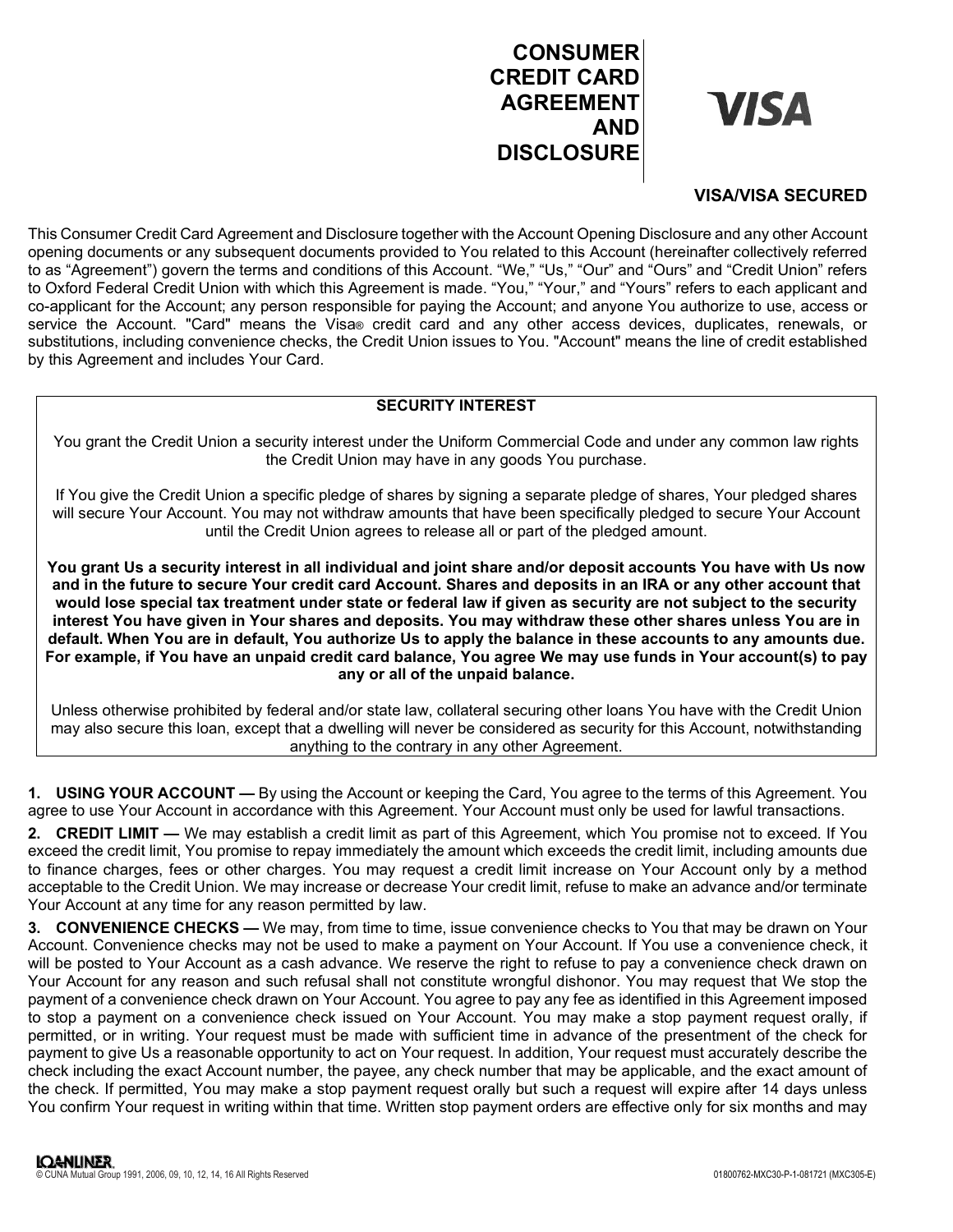# CONSUMER CREDIT CARD AGREEMENT VISA AND **DISCLOSURE**

# VISA/VISA SECURED

This Consumer Credit Card Agreement and Disclosure together with the Account Opening Disclosure and any other Account opening documents or any subsequent documents provided to You related to this Account (hereinafter collectively referred to as "Agreement") govern the terms and conditions of this Account. "We," "Us," "Our" and "Ours" and "Credit Union" refers to Oxford Federal Credit Union with which this Agreement is made. "You," "Your," and "Yours" refers to each applicant and co-applicant for the Account; any person responsible for paying the Account; and anyone You authorize to use, access or service the Account. "Card" means the Visa® credit card and any other access devices, duplicates, renewals, or substitutions, including convenience checks, the Credit Union issues to You. "Account" means the line of credit established by this Agreement and includes Your Card.

# SECURITY INTEREST

You grant the Credit Union a security interest under the Uniform Commercial Code and under any common law rights the Credit Union may have in any goods You purchase.

If You give the Credit Union a specific pledge of shares by signing a separate pledge of shares, Your pledged shares will secure Your Account. You may not withdraw amounts that have been specifically pledged to secure Your Account until the Credit Union agrees to release all or part of the pledged amount.

You grant Us a security interest in all individual and joint share and/or deposit accounts You have with Us now and in the future to secure Your credit card Account. Shares and deposits in an IRA or any other account that would lose special tax treatment under state or federal law if given as security are not subject to the security interest You have given in Your shares and deposits. You may withdraw these other shares unless You are in default. When You are in default, You authorize Us to apply the balance in these accounts to any amounts due. For example, if You have an unpaid credit card balance, You agree We may use funds in Your account(s) to pay any or all of the unpaid balance.

Unless otherwise prohibited by federal and/or state law, collateral securing other loans You have with the Credit Union may also secure this loan, except that a dwelling will never be considered as security for this Account, notwithstanding anything to the contrary in any other Agreement.

1. USING YOUR ACCOUNT — By using the Account or keeping the Card, You agree to the terms of this Agreement. You agree to use Your Account in accordance with this Agreement. Your Account must only be used for lawful transactions.

2. CREDIT LIMIT — We may establish a credit limit as part of this Agreement, which You promise not to exceed. If You exceed the credit limit, You promise to repay immediately the amount which exceeds the credit limit, including amounts due to finance charges, fees or other charges. You may request a credit limit increase on Your Account only by a method acceptable to the Credit Union. We may increase or decrease Your credit limit, refuse to make an advance and/or terminate Your Account at any time for any reason permitted by law.

3. CONVENIENCE CHECKS — We may, from time to time, issue convenience checks to You that may be drawn on Your Account. Convenience checks may not be used to make a payment on Your Account. If You use a convenience check, it will be posted to Your Account as a cash advance. We reserve the right to refuse to pay a convenience check drawn on Your Account for any reason and such refusal shall not constitute wrongful dishonor. You may request that We stop the payment of a convenience check drawn on Your Account. You agree to pay any fee as identified in this Agreement imposed to stop a payment on a convenience check issued on Your Account. You may make a stop payment request orally, if permitted, or in writing. Your request must be made with sufficient time in advance of the presentment of the check for payment to give Us a reasonable opportunity to act on Your request. In addition, Your request must accurately describe the check including the exact Account number, the payee, any check number that may be applicable, and the exact amount of the check. If permitted, You may make a stop payment request orally but such a request will expire after 14 days unless You confirm Your request in writing within that time. Written stop payment orders are effective only for six months and may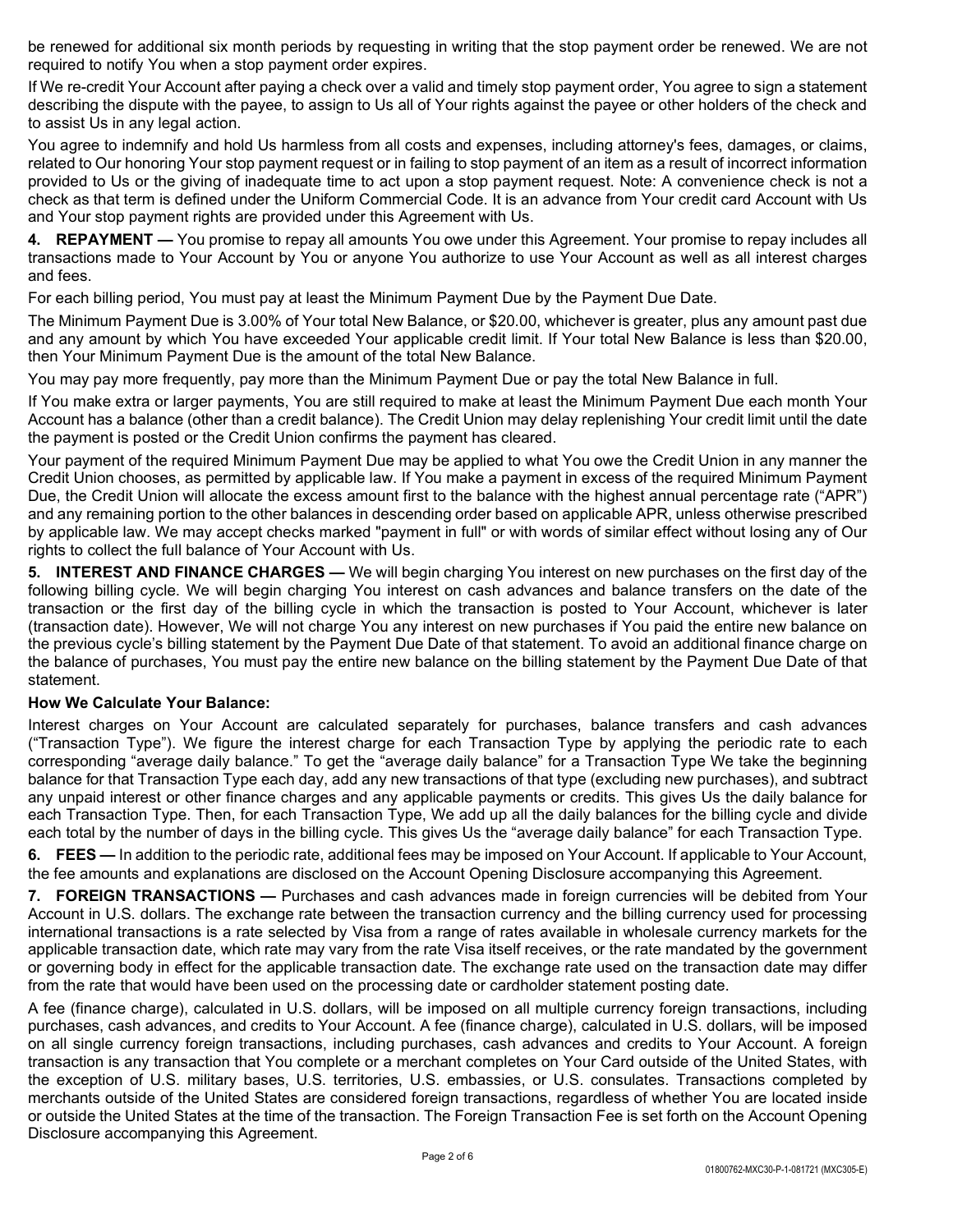be renewed for additional six month periods by requesting in writing that the stop payment order be renewed. We are not required to notify You when a stop payment order expires.

If We re-credit Your Account after paying a check over a valid and timely stop payment order, You agree to sign a statement describing the dispute with the payee, to assign to Us all of Your rights against the payee or other holders of the check and to assist Us in any legal action.

You agree to indemnify and hold Us harmless from all costs and expenses, including attorney's fees, damages, or claims, related to Our honoring Your stop payment request or in failing to stop payment of an item as a result of incorrect information provided to Us or the giving of inadequate time to act upon a stop payment request. Note: A convenience check is not a check as that term is defined under the Uniform Commercial Code. It is an advance from Your credit card Account with Us and Your stop payment rights are provided under this Agreement with Us.

4. REPAYMENT — You promise to repay all amounts You owe under this Agreement. Your promise to repay includes all transactions made to Your Account by You or anyone You authorize to use Your Account as well as all interest charges and fees.

For each billing period, You must pay at least the Minimum Payment Due by the Payment Due Date.

The Minimum Payment Due is 3.00% of Your total New Balance, or \$20.00, whichever is greater, plus any amount past due and any amount by which You have exceeded Your applicable credit limit. If Your total New Balance is less than \$20.00, then Your Minimum Payment Due is the amount of the total New Balance.

You may pay more frequently, pay more than the Minimum Payment Due or pay the total New Balance in full.

If You make extra or larger payments, You are still required to make at least the Minimum Payment Due each month Your Account has a balance (other than a credit balance). The Credit Union may delay replenishing Your credit limit until the date the payment is posted or the Credit Union confirms the payment has cleared.

Your payment of the required Minimum Payment Due may be applied to what You owe the Credit Union in any manner the Credit Union chooses, as permitted by applicable law. If You make a payment in excess of the required Minimum Payment Due, the Credit Union will allocate the excess amount first to the balance with the highest annual percentage rate ("APR") and any remaining portion to the other balances in descending order based on applicable APR, unless otherwise prescribed by applicable law. We may accept checks marked "payment in full" or with words of similar effect without losing any of Our rights to collect the full balance of Your Account with Us.

5. INTEREST AND FINANCE CHARGES — We will begin charging You interest on new purchases on the first day of the following billing cycle. We will begin charging You interest on cash advances and balance transfers on the date of the transaction or the first day of the billing cycle in which the transaction is posted to Your Account, whichever is later (transaction date). However, We will not charge You any interest on new purchases if You paid the entire new balance on the previous cycle's billing statement by the Payment Due Date of that statement. To avoid an additional finance charge on the balance of purchases, You must pay the entire new balance on the billing statement by the Payment Due Date of that statement.

#### How We Calculate Your Balance:

Interest charges on Your Account are calculated separately for purchases, balance transfers and cash advances ("Transaction Type"). We figure the interest charge for each Transaction Type by applying the periodic rate to each corresponding "average daily balance." To get the "average daily balance" for a Transaction Type We take the beginning balance for that Transaction Type each day, add any new transactions of that type (excluding new purchases), and subtract any unpaid interest or other finance charges and any applicable payments or credits. This gives Us the daily balance for each Transaction Type. Then, for each Transaction Type, We add up all the daily balances for the billing cycle and divide each total by the number of days in the billing cycle. This gives Us the "average daily balance" for each Transaction Type.

6. FEES — In addition to the periodic rate, additional fees may be imposed on Your Account. If applicable to Your Account, the fee amounts and explanations are disclosed on the Account Opening Disclosure accompanying this Agreement.

7. FOREIGN TRANSACTIONS — Purchases and cash advances made in foreign currencies will be debited from Your Account in U.S. dollars. The exchange rate between the transaction currency and the billing currency used for processing international transactions is a rate selected by Visa from a range of rates available in wholesale currency markets for the applicable transaction date, which rate may vary from the rate Visa itself receives, or the rate mandated by the government or governing body in effect for the applicable transaction date. The exchange rate used on the transaction date may differ from the rate that would have been used on the processing date or cardholder statement posting date.

A fee (finance charge), calculated in U.S. dollars, will be imposed on all multiple currency foreign transactions, including purchases, cash advances, and credits to Your Account. A fee (finance charge), calculated in U.S. dollars, will be imposed on all single currency foreign transactions, including purchases, cash advances and credits to Your Account. A foreign transaction is any transaction that You complete or a merchant completes on Your Card outside of the United States, with the exception of U.S. military bases, U.S. territories, U.S. embassies, or U.S. consulates. Transactions completed by merchants outside of the United States are considered foreign transactions, regardless of whether You are located inside or outside the United States at the time of the transaction. The Foreign Transaction Fee is set forth on the Account Opening Disclosure accompanying this Agreement.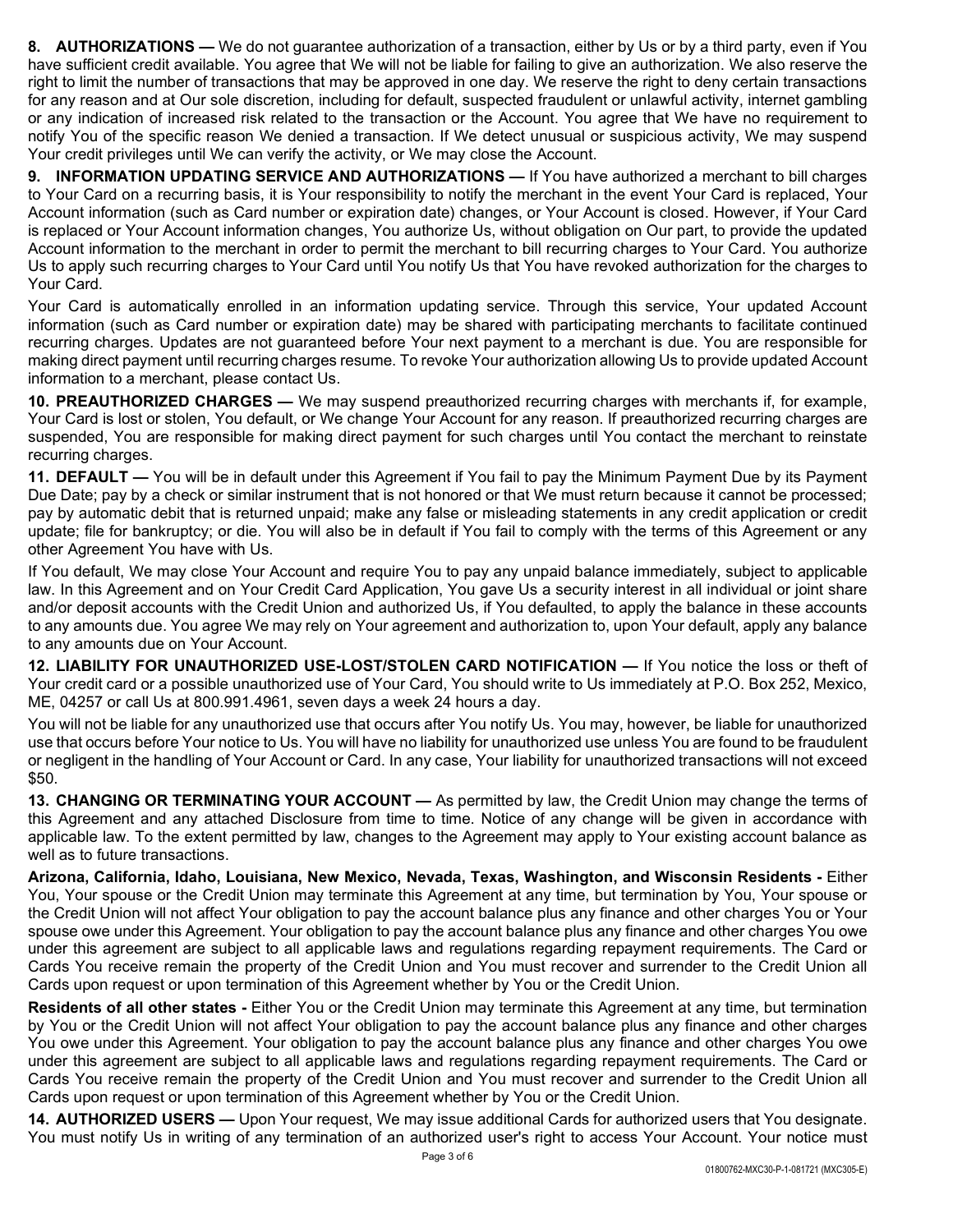8. AUTHORIZATIONS — We do not guarantee authorization of a transaction, either by Us or by a third party, even if You have sufficient credit available. You agree that We will not be liable for failing to give an authorization. We also reserve the right to limit the number of transactions that may be approved in one day. We reserve the right to deny certain transactions for any reason and at Our sole discretion, including for default, suspected fraudulent or unlawful activity, internet gambling or any indication of increased risk related to the transaction or the Account. You agree that We have no requirement to notify You of the specific reason We denied a transaction. If We detect unusual or suspicious activity, We may suspend Your credit privileges until We can verify the activity, or We may close the Account.

9. INFORMATION UPDATING SERVICE AND AUTHORIZATIONS — If You have authorized a merchant to bill charges to Your Card on a recurring basis, it is Your responsibility to notify the merchant in the event Your Card is replaced, Your Account information (such as Card number or expiration date) changes, or Your Account is closed. However, if Your Card is replaced or Your Account information changes, You authorize Us, without obligation on Our part, to provide the updated Account information to the merchant in order to permit the merchant to bill recurring charges to Your Card. You authorize Us to apply such recurring charges to Your Card until You notify Us that You have revoked authorization for the charges to Your Card.

Your Card is automatically enrolled in an information updating service. Through this service, Your updated Account information (such as Card number or expiration date) may be shared with participating merchants to facilitate continued recurring charges. Updates are not guaranteed before Your next payment to a merchant is due. You are responsible for making direct payment until recurring charges resume. To revoke Your authorization allowing Us to provide updated Account information to a merchant, please contact Us.

10. PREAUTHORIZED CHARGES — We may suspend preauthorized recurring charges with merchants if, for example, Your Card is lost or stolen, You default, or We change Your Account for any reason. If preauthorized recurring charges are suspended, You are responsible for making direct payment for such charges until You contact the merchant to reinstate recurring charges.

11. DEFAULT — You will be in default under this Agreement if You fail to pay the Minimum Payment Due by its Payment Due Date; pay by a check or similar instrument that is not honored or that We must return because it cannot be processed; pay by automatic debit that is returned unpaid; make any false or misleading statements in any credit application or credit update; file for bankruptcy; or die. You will also be in default if You fail to comply with the terms of this Agreement or any other Agreement You have with Us.

If You default, We may close Your Account and require You to pay any unpaid balance immediately, subject to applicable law. In this Agreement and on Your Credit Card Application, You gave Us a security interest in all individual or joint share and/or deposit accounts with the Credit Union and authorized Us, if You defaulted, to apply the balance in these accounts to any amounts due. You agree We may rely on Your agreement and authorization to, upon Your default, apply any balance to any amounts due on Your Account.

12. LIABILITY FOR UNAUTHORIZED USE-LOST/STOLEN CARD NOTIFICATION — If You notice the loss or theft of Your credit card or a possible unauthorized use of Your Card, You should write to Us immediately at P.O. Box 252, Mexico, ME, 04257 or call Us at 800.991.4961, seven days a week 24 hours a day.

You will not be liable for any unauthorized use that occurs after You notify Us. You may, however, be liable for unauthorized use that occurs before Your notice to Us. You will have no liability for unauthorized use unless You are found to be fraudulent or negligent in the handling of Your Account or Card. In any case, Your liability for unauthorized transactions will not exceed \$50.

13. CHANGING OR TERMINATING YOUR ACCOUNT — As permitted by law, the Credit Union may change the terms of this Agreement and any attached Disclosure from time to time. Notice of any change will be given in accordance with applicable law. To the extent permitted by law, changes to the Agreement may apply to Your existing account balance as well as to future transactions.

Arizona, California, Idaho, Louisiana, New Mexico, Nevada, Texas, Washington, and Wisconsin Residents - Either You, Your spouse or the Credit Union may terminate this Agreement at any time, but termination by You, Your spouse or the Credit Union will not affect Your obligation to pay the account balance plus any finance and other charges You or Your spouse owe under this Agreement. Your obligation to pay the account balance plus any finance and other charges You owe under this agreement are subject to all applicable laws and regulations regarding repayment requirements. The Card or Cards You receive remain the property of the Credit Union and You must recover and surrender to the Credit Union all Cards upon request or upon termination of this Agreement whether by You or the Credit Union.

Residents of all other states - Either You or the Credit Union may terminate this Agreement at any time, but termination by You or the Credit Union will not affect Your obligation to pay the account balance plus any finance and other charges You owe under this Agreement. Your obligation to pay the account balance plus any finance and other charges You owe under this agreement are subject to all applicable laws and regulations regarding repayment requirements. The Card or Cards You receive remain the property of the Credit Union and You must recover and surrender to the Credit Union all Cards upon request or upon termination of this Agreement whether by You or the Credit Union.

14. AUTHORIZED USERS — Upon Your request, We may issue additional Cards for authorized users that You designate. You must notify Us in writing of any termination of an authorized user's right to access Your Account. Your notice must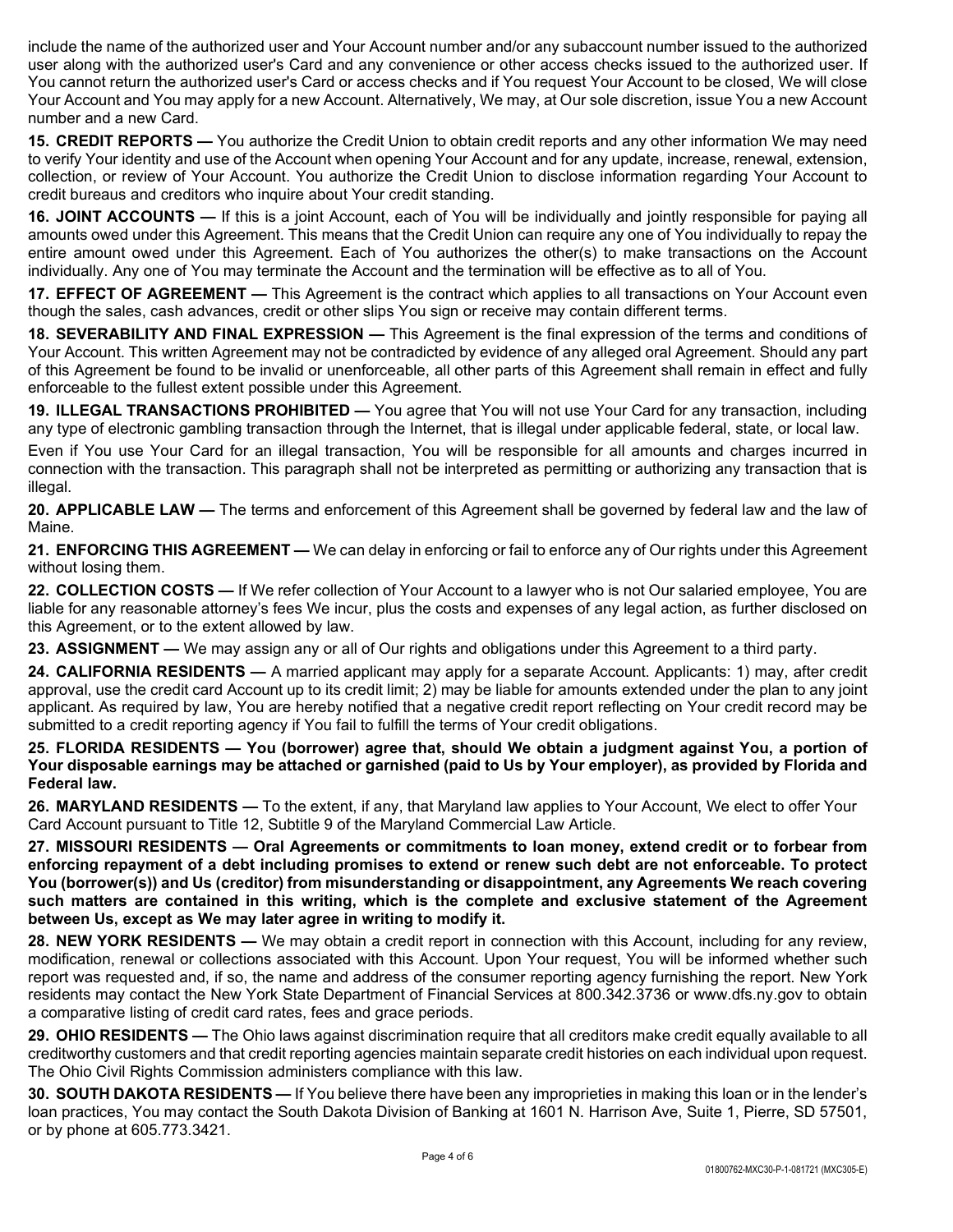include the name of the authorized user and Your Account number and/or any subaccount number issued to the authorized user along with the authorized user's Card and any convenience or other access checks issued to the authorized user. If You cannot return the authorized user's Card or access checks and if You request Your Account to be closed, We will close Your Account and You may apply for a new Account. Alternatively, We may, at Our sole discretion, issue You a new Account number and a new Card.

15. CREDIT REPORTS — You authorize the Credit Union to obtain credit reports and any other information We may need to verify Your identity and use of the Account when opening Your Account and for any update, increase, renewal, extension, collection, or review of Your Account. You authorize the Credit Union to disclose information regarding Your Account to credit bureaus and creditors who inquire about Your credit standing.

16. JOINT ACCOUNTS — If this is a joint Account, each of You will be individually and jointly responsible for paying all amounts owed under this Agreement. This means that the Credit Union can require any one of You individually to repay the entire amount owed under this Agreement. Each of You authorizes the other(s) to make transactions on the Account individually. Any one of You may terminate the Account and the termination will be effective as to all of You.

17. EFFECT OF AGREEMENT — This Agreement is the contract which applies to all transactions on Your Account even though the sales, cash advances, credit or other slips You sign or receive may contain different terms.

18. SEVERABILITY AND FINAL EXPRESSION — This Agreement is the final expression of the terms and conditions of Your Account. This written Agreement may not be contradicted by evidence of any alleged oral Agreement. Should any part of this Agreement be found to be invalid or unenforceable, all other parts of this Agreement shall remain in effect and fully enforceable to the fullest extent possible under this Agreement.

19. ILLEGAL TRANSACTIONS PROHIBITED — You agree that You will not use Your Card for any transaction, including any type of electronic gambling transaction through the Internet, that is illegal under applicable federal, state, or local law.

Even if You use Your Card for an illegal transaction, You will be responsible for all amounts and charges incurred in connection with the transaction. This paragraph shall not be interpreted as permitting or authorizing any transaction that is illegal.

20. APPLICABLE LAW — The terms and enforcement of this Agreement shall be governed by federal law and the law of Maine.

21. ENFORCING THIS AGREEMENT — We can delay in enforcing or fail to enforce any of Our rights under this Agreement without losing them.

22. COLLECTION COSTS — If We refer collection of Your Account to a lawyer who is not Our salaried employee, You are liable for any reasonable attorney's fees We incur, plus the costs and expenses of any legal action, as further disclosed on this Agreement, or to the extent allowed by law.

23. ASSIGNMENT — We may assign any or all of Our rights and obligations under this Agreement to a third party.

24. CALIFORNIA RESIDENTS — A married applicant may apply for a separate Account. Applicants: 1) may, after credit approval, use the credit card Account up to its credit limit; 2) may be liable for amounts extended under the plan to any joint applicant. As required by law, You are hereby notified that a negative credit report reflecting on Your credit record may be submitted to a credit reporting agency if You fail to fulfill the terms of Your credit obligations.

25. FLORIDA RESIDENTS — You (borrower) agree that, should We obtain a judgment against You, a portion of Your disposable earnings may be attached or garnished (paid to Us by Your employer), as provided by Florida and Federal law.

26. MARYLAND RESIDENTS — To the extent, if any, that Maryland law applies to Your Account, We elect to offer Your Card Account pursuant to Title 12, Subtitle 9 of the Maryland Commercial Law Article.

27. MISSOURI RESIDENTS — Oral Agreements or commitments to loan money, extend credit or to forbear from enforcing repayment of a debt including promises to extend or renew such debt are not enforceable. To protect You (borrower(s)) and Us (creditor) from misunderstanding or disappointment, any Agreements We reach covering such matters are contained in this writing, which is the complete and exclusive statement of the Agreement between Us, except as We may later agree in writing to modify it.

28. NEW YORK RESIDENTS — We may obtain a credit report in connection with this Account, including for any review, modification, renewal or collections associated with this Account. Upon Your request, You will be informed whether such report was requested and, if so, the name and address of the consumer reporting agency furnishing the report. New York residents may contact the New York State Department of Financial Services at 800.342.3736 or www.dfs.ny.gov to obtain a comparative listing of credit card rates, fees and grace periods.

29. OHIO RESIDENTS — The Ohio laws against discrimination require that all creditors make credit equally available to all creditworthy customers and that credit reporting agencies maintain separate credit histories on each individual upon request. The Ohio Civil Rights Commission administers compliance with this law.

30. SOUTH DAKOTA RESIDENTS — If You believe there have been any improprieties in making this loan or in the lender's loan practices, You may contact the South Dakota Division of Banking at 1601 N. Harrison Ave, Suite 1, Pierre, SD 57501, or by phone at 605.773.3421.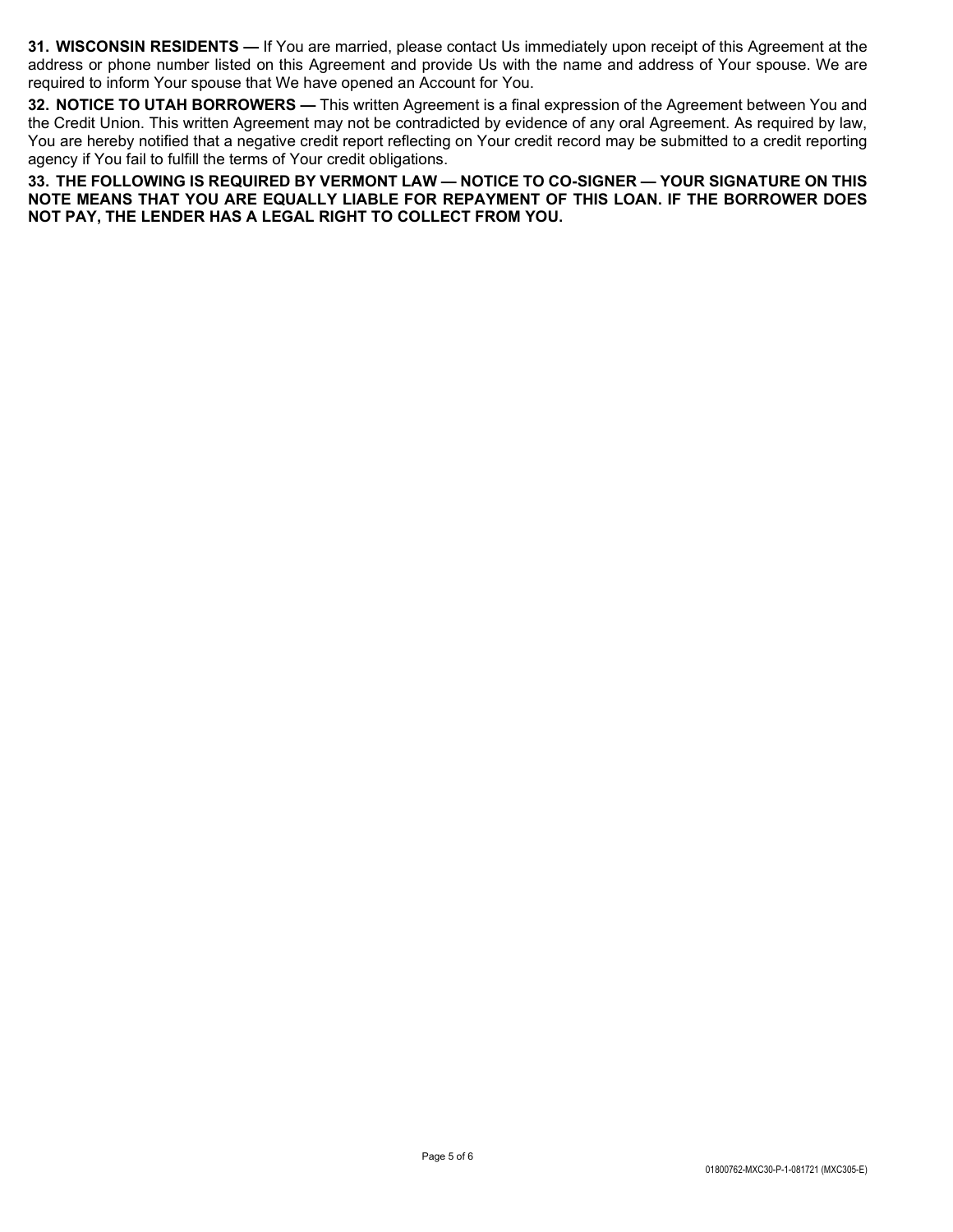31. WISCONSIN RESIDENTS — If You are married, please contact Us immediately upon receipt of this Agreement at the address or phone number listed on this Agreement and provide Us with the name and address of Your spouse. We are required to inform Your spouse that We have opened an Account for You.

32. NOTICE TO UTAH BORROWERS — This written Agreement is a final expression of the Agreement between You and the Credit Union. This written Agreement may not be contradicted by evidence of any oral Agreement. As required by law, You are hereby notified that a negative credit report reflecting on Your credit record may be submitted to a credit reporting agency if You fail to fulfill the terms of Your credit obligations.

33. THE FOLLOWING IS REQUIRED BY VERMONT LAW — NOTICE TO CO-SIGNER — YOUR SIGNATURE ON THIS NOTE MEANS THAT YOU ARE EQUALLY LIABLE FOR REPAYMENT OF THIS LOAN. IF THE BORROWER DOES NOT PAY, THE LENDER HAS A LEGAL RIGHT TO COLLECT FROM YOU.